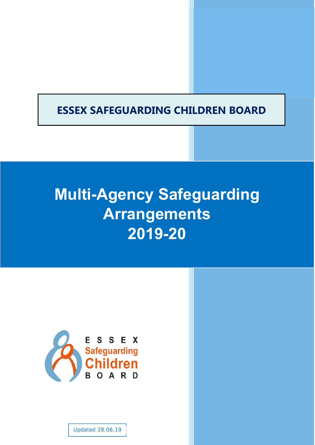# **ESSEX SAFEGUARDING CHILDREN BOARD**

# **Multi-Agency Safeguarding Arrangements 2019-20**



Updated 28.06.19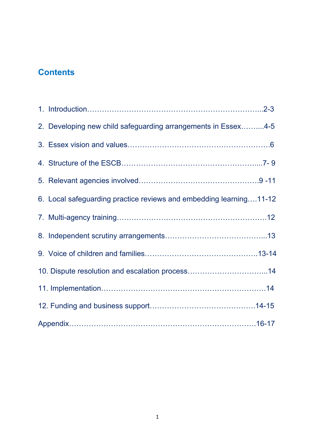# **Contents**

| 2. Developing new child safeguarding arrangements in Essex4-5      |
|--------------------------------------------------------------------|
|                                                                    |
|                                                                    |
|                                                                    |
| 6. Local safeguarding practice reviews and embedding learning11-12 |
|                                                                    |
|                                                                    |
|                                                                    |
| 10. Dispute resolution and escalation process14                    |
|                                                                    |
|                                                                    |
|                                                                    |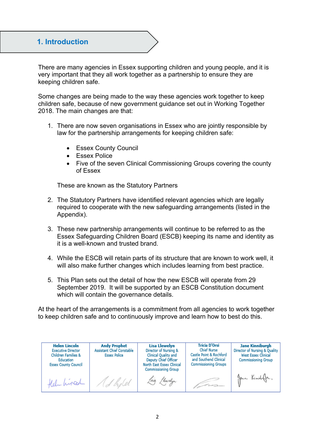# **1. Introduction**

There are many agencies in Essex supporting children and young people, and it is very important that they all work together as a partnership to ensure they are keeping children safe.

Some changes are being made to the way these agencies work together to keep children safe, because of new government guidance set out in Working Together 2018. The main changes are that:

- 1. There are now seven organisations in Essex who are jointly responsible by law for the partnership arrangements for keeping children safe:
	- Essex County Council
	- **Essex Police**
	- Five of the seven Clinical Commissioning Groups covering the county of Essex

These are known as the Statutory Partners

- 2. The Statutory Partners have identified relevant agencies which are legally required to cooperate with the new safeguarding arrangements (listed in the Appendix).
- 3. These new partnership arrangements will continue to be referred to as the Essex Safeguarding Children Board (ESCB) keeping its name and identity as it is a well-known and trusted brand.
- 4. While the ESCB will retain parts of its structure that are known to work well, it will also make further changes which includes learning from best practice.
- 5. This Plan sets out the detail of how the new ESCB will operate from 29 September 2019. It will be supported by an ESCB Constitution document which will contain the governance details.

At the heart of the arrangements is a commitment from all agencies to work together to keep children safe and to continuously improve and learn how to best do this.

**Lisa Llewelyn Tricia D'Orsi Helen Lincoln Andy Prophet Jane Kinniburgh Chief Nurse Executive Director Assistant Chief Constable** Director of Nursing & Director of Nursing & Ouality Castle Point & Rochford **Essex Police** Clinical Quality and **Children Families & West Essex Clinical** Deputy Chief Officer and Southend Clinical Education **Commissioning Group Essex County Council** North East Essex Clinical **Commissioning Groups Commissioning Group** Jame Kimihafe, A holed the hired <u>and a short of the contract of the contract of the contract of the contract of the contract of the contract of the contract of the contract of the contract of the contract of the contract of the contract of the contract o</u>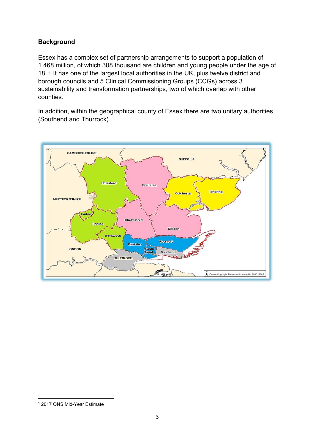# **Background**

Essex has a complex set of partnership arrangements to support a population of 1.468 million, of which 308 thousand are children and young people under the age of 18.<sup>1</sup> It has one of the largest local authorities in the UK, plus twelve district and borough councils and 5 Clinical Commissioning Groups (CCGs) across 3 sustainability and transformation partnerships, two of which overlap with other counties.

In addition, within the geographical county of Essex there are two unitary authorities (Southend and Thurrock).



<sup>1</sup> 1 2017 ONS Mid-Year Estimate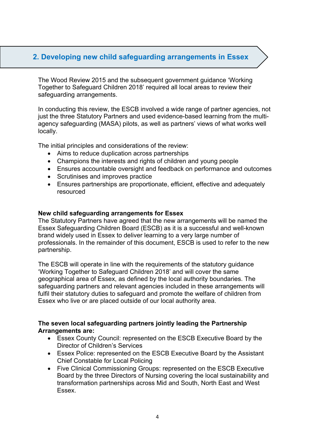# **2. Developing new child safeguarding arrangements in Essex**

The Wood Review 2015 and the subsequent government guidance 'Working Together to Safeguard Children 2018' required all local areas to review their safeguarding arrangements.

In conducting this review, the ESCB involved a wide range of partner agencies, not just the three Statutory Partners and used evidence-based learning from the multiagency safeguarding (MASA) pilots, as well as partners' views of what works well locally.

The initial principles and considerations of the review:

- Aims to reduce duplication across partnerships
- Champions the interests and rights of children and young people
- Ensures accountable oversight and feedback on performance and outcomes
- Scrutinises and improves practice
- Ensures partnerships are proportionate, efficient, effective and adequately resourced

#### **New child safeguarding arrangements for Essex**

The Statutory Partners have agreed that the new arrangements will be named the Essex Safeguarding Children Board (ESCB) as it is a successful and well-known brand widely used in Essex to deliver learning to a very large number of professionals. In the remainder of this document, ESCB is used to refer to the new partnership.

The ESCB will operate in line with the requirements of the statutory guidance 'Working Together to Safeguard Children 2018' and will cover the same geographical area of Essex, as defined by the local authority boundaries. The safeguarding partners and relevant agencies included in these arrangements will fulfil their statutory duties to safeguard and promote the welfare of children from Essex who live or are placed outside of our local authority area.

# **The seven local safeguarding partners jointly leading the Partnership Arrangements are:**

- Essex County Council: represented on the ESCB Executive Board by the Director of Children's Services
- Essex Police: represented on the ESCB Executive Board by the Assistant Chief Constable for Local Policing
- Five Clinical Commissioning Groups: represented on the ESCB Executive Board by the three Directors of Nursing covering the local sustainability and transformation partnerships across Mid and South, North East and West Essex.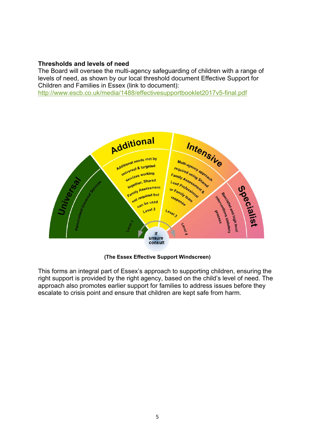### **Thresholds and levels of need**

The Board will oversee the multi-agency safeguarding of children with a range of levels of need, as shown by our local threshold document Effective Support for Children and Families in Essex (link to document):

http://www.escb.co.uk/media/1488/effectivesupportbooklet2017v5-final.pdf



**(The Essex Effective Support Windscreen)**

This forms an integral part of Essex's approach to supporting children, ensuring the right support is provided by the right agency, based on the child's level of need. The approach also promotes earlier support for families to address issues before they escalate to crisis point and ensure that children are kept safe from harm.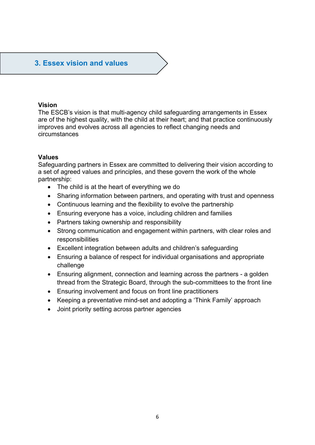# **3. Essex vision and values**

#### **Vision**

The ESCB's vision is that multi-agency child safeguarding arrangements in Essex are of the highest quality, with the child at their heart; and that practice continuously improves and evolves across all agencies to reflect changing needs and circumstances

# **Values**

Safeguarding partners in Essex are committed to delivering their vision according to a set of agreed values and principles, and these govern the work of the whole partnership:

- The child is at the heart of everything we do
- Sharing information between partners, and operating with trust and openness
- Continuous learning and the flexibility to evolve the partnership
- Ensuring everyone has a voice, including children and families
- Partners taking ownership and responsibility
- Strong communication and engagement within partners, with clear roles and responsibilities
- Excellent integration between adults and children's safeguarding
- Ensuring a balance of respect for individual organisations and appropriate challenge
- Ensuring alignment, connection and learning across the partners a golden thread from the Strategic Board, through the sub-committees to the front line
- Ensuring involvement and focus on front line practitioners
- Keeping a preventative mind-set and adopting a 'Think Family' approach
- Joint priority setting across partner agencies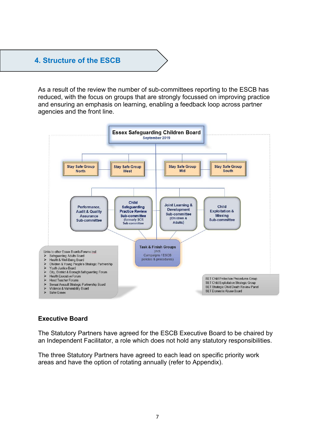# **4. Structure of the ESCB**

As a result of the review the number of sub-committees reporting to the ESCB has reduced, with the focus on groups that are strongly focussed on improving practice and ensuring an emphasis on learning, enabling a feedback loop across partner agencies and the front line.



# **Executive Board**

The Statutory Partners have agreed for the ESCB Executive Board to be chaired by an Independent Facilitator, a role which does not hold any statutory responsibilities.

The three Statutory Partners have agreed to each lead on specific priority work areas and have the option of rotating annually (refer to Appendix).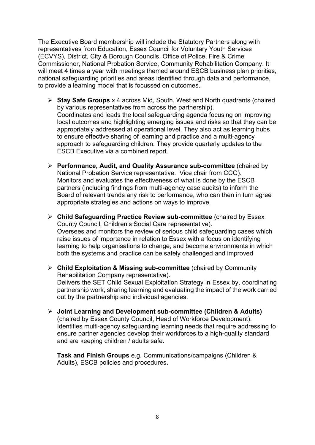The Executive Board membership will include the Statutory Partners along with representatives from Education, Essex Council for Voluntary Youth Services (ECVYS), District, City & Borough Councils, Office of Police, Fire & Crime Commissioner, National Probation Service, Community Rehabilitation Company. It will meet 4 times a year with meetings themed around ESCB business plan priorities, national safeguarding priorities and areas identified through data and performance, to provide a learning model that is focussed on outcomes.

- **Stay Safe Groups** x 4 across Mid, South, West and North quadrants (chaired by various representatives from across the partnership). Coordinates and leads the local safeguarding agenda focusing on improving local outcomes and highlighting emerging issues and risks so that they can be appropriately addressed at operational level. They also act as learning hubs to ensure effective sharing of learning and practice and a multi-agency approach to safeguarding children. They provide quarterly updates to the ESCB Executive via a combined report.
- **Performance, Audit, and Quality Assurance sub-committee** (chaired by National Probation Service representative. Vice chair from CCG). Monitors and evaluates the effectiveness of what is done by the ESCB partners (including findings from multi-agency case audits) to inform the Board of relevant trends any risk to performance, who can then in turn agree appropriate strategies and actions on ways to improve.
- **Child Safeguarding Practice Review sub-committee** (chaired by Essex County Council, Children's Social Care representative). Oversees and monitors the review of serious child safeguarding cases which raise issues of importance in relation to Essex with a focus on identifying learning to help organisations to change, and become environments in which both the systems and practice can be safely challenged and improved
- **Child Exploitation & Missing sub-committee** (chaired by Community Rehabilitation Company representative). Delivers the SET Child Sexual Exploitation Strategy in Essex by, coordinating partnership work, sharing learning and evaluating the impact of the work carried out by the partnership and individual agencies.
- **Joint Learning and Development sub-committee (Children & Adults)**  (chaired by Essex County Council, Head of Workforce Development). Identifies multi-agency safeguarding learning needs that require addressing to ensure partner agencies develop their workforces to a high-quality standard and are keeping children / adults safe.

**Task and Finish Groups** e.g. Communications/campaigns (Children & Adults), ESCB policies and procedures**.**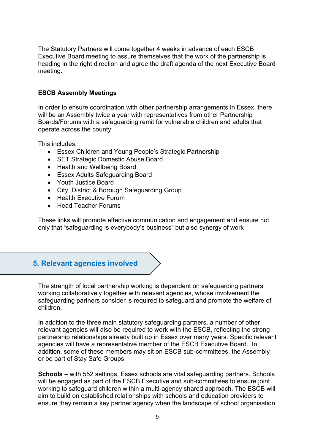The Statutory Partners will come together 4 weeks in advance of each ESCB Executive Board meeting to assure themselves that the work of the partnership is heading in the right direction and agree the draft agenda of the next Executive Board meeting.

# **ESCB Assembly Meetings**

In order to ensure coordination with other partnership arrangements in Essex, there will be an Assembly twice a year with representatives from other Partnership Boards/Forums with a safeguarding remit for vulnerable children and adults that operate across the county:

This includes:

- Essex Children and Young People's Strategic Partnership
- SET Strategic Domestic Abuse Board
- Health and Wellbeing Board
- Essex Adults Safeguarding Board
- Youth Justice Board
- City, District & Borough Safeguarding Group
- Health Executive Forum
- Head Teacher Forums

These links will promote effective communication and engagement and ensure not only that "safeguarding is everybody's business" but also synergy of work

# **5. Relevant agencies involved**

The strength of local partnership working is dependent on safeguarding partners working collaboratively together with relevant agencies, whose involvement the safeguarding partners consider is required to safeguard and promote the welfare of children.

In addition to the three main statutory safeguarding partners, a number of other relevant agencies will also be required to work with the ESCB, reflecting the strong partnership relationships already built up in Essex over many years. Specific relevant agencies will have a representative member of the ESCB Executive Board. In addition, some of these members may sit on ESCB sub-committees, the Assembly or be part of Stay Safe Groups.

**Schools** – with 552 settings, Essex schools are vital safeguarding partners. Schools will be engaged as part of the ESCB Executive and sub-committees to ensure joint working to safeguard children within a multi-agency shared approach. The ESCB will aim to build on established relationships with schools and education providers to ensure they remain a key partner agency when the landscape of school organisation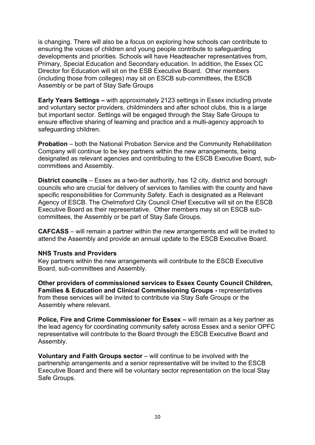is changing. There will also be a focus on exploring how schools can contribute to ensuring the voices of children and young people contribute to safeguarding developments and priorities. Schools will have Headteacher representatives from, Primary, Special Education and Secondary education. In addition, the Essex CC Director for Education will sit on the ESB Executive Board. Other members (including those from colleges) may sit on ESCB sub-committees, the ESCB Assembly or be part of Stay Safe Groups

**Early Years Settings –** with approximately 2123 settings in Essex including private and voluntary sector providers, childminders and after school clubs, this is a large but important sector. Settings will be engaged through the Stay Safe Groups to ensure effective sharing of learning and practice and a multi-agency approach to safeguarding children.

**Probation** – both the National Probation Service and the Community Rehabilitation Company will continue to be key partners within the new arrangements, being designated as relevant agencies and contributing to the ESCB Executive Board, subcommittees and Assembly.

**District councils** – Essex as a two-tier authority, has 12 city, district and borough councils who are crucial for delivery of services to families with the county and have specific responsibilities for Community Safety. Each is designated as a Relevant Agency of ESCB. The Chelmsford City Council Chief Executive will sit on the ESCB Executive Board as their representative. Other members may sit on ESCB subcommittees, the Assembly or be part of Stay Safe Groups.

**CAFCASS** – will remain a partner within the new arrangements and will be invited to attend the Assembly and provide an annual update to the ESCB Executive Board.

# **NHS Trusts and Providers**

Key partners within the new arrangements will contribute to the ESCB Executive Board, sub-committees and Assembly.

**Other providers of commissioned services to Essex County Council Children, Families & Education and Clinical Commissioning Groups - representatives** from these services will be invited to contribute via Stay Safe Groups or the Assembly where relevant.

**Police, Fire and Crime Commissioner for Essex –** will remain as a key partner as the lead agency for coordinating community safety across Essex and a senior OPFC representative will contribute to the Board through the ESCB Executive Board and Assembly.

**Voluntary and Faith Groups sector** – will continue to be involved with the partnership arrangements and a senior representative will be invited to the ESCB Executive Board and there will be voluntary sector representation on the local Stay Safe Groups.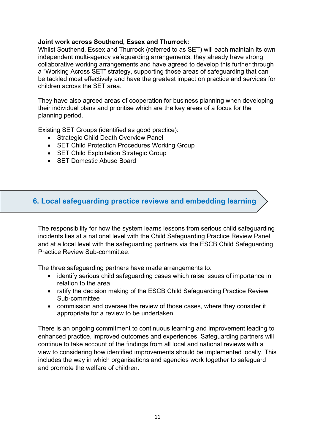# **Joint work across Southend, Essex and Thurrock:**

Whilst Southend, Essex and Thurrock (referred to as SET) will each maintain its own independent multi-agency safeguarding arrangements, they already have strong collaborative working arrangements and have agreed to develop this further through a "Working Across SET" strategy, supporting those areas of safeguarding that can be tackled most effectively and have the greatest impact on practice and services for children across the SET area.

They have also agreed areas of cooperation for business planning when developing their individual plans and prioritise which are the key areas of a focus for the planning period.

Existing SET Groups (identified as good practice):

- Strategic Child Death Overview Panel
- SET Child Protection Procedures Working Group
- SET Child Exploitation Strategic Group
- **SET Domestic Abuse Board**

# **6. Local safeguarding practice reviews and embedding learning**

The responsibility for how the system learns lessons from serious child safeguarding incidents lies at a national level with the Child Safeguarding Practice Review Panel and at a local level with the safeguarding partners via the ESCB Child Safeguarding Practice Review Sub-committee.

The three safeguarding partners have made arrangements to:

- identify serious child safeguarding cases which raise issues of importance in relation to the area
- ratify the decision making of the ESCB Child Safeguarding Practice Review Sub-committee
- commission and oversee the review of those cases, where they consider it appropriate for a review to be undertaken

There is an ongoing commitment to continuous learning and improvement leading to enhanced practice, improved outcomes and experiences. Safeguarding partners will continue to take account of the findings from all local and national reviews with a view to considering how identified improvements should be implemented locally. This includes the way in which organisations and agencies work together to safeguard and promote the welfare of children.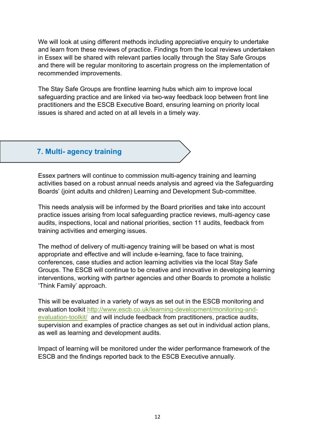We will look at using different methods including appreciative enquiry to undertake and learn from these reviews of practice. Findings from the local reviews undertaken in Essex will be shared with relevant parties locally through the Stay Safe Groups and there will be regular monitoring to ascertain progress on the implementation of recommended improvements.

The Stay Safe Groups are frontline learning hubs which aim to improve local safeguarding practice and are linked via two-way feedback loop between front line practitioners and the ESCB Executive Board, ensuring learning on priority local issues is shared and acted on at all levels in a timely way.

# **7. Multi- agency training**

Essex partners will continue to commission multi-agency training and learning activities based on a robust annual needs analysis and agreed via the Safeguarding Boards' (joint adults and children) Learning and Development Sub-committee.

This needs analysis will be informed by the Board priorities and take into account practice issues arising from local safeguarding practice reviews, multi-agency case audits, inspections, local and national priorities, section 11 audits, feedback from training activities and emerging issues.

The method of delivery of multi-agency training will be based on what is most appropriate and effective and will include e-learning, face to face training, conferences, case studies and action learning activities via the local Stay Safe Groups. The ESCB will continue to be creative and innovative in developing learning interventions, working with partner agencies and other Boards to promote a holistic 'Think Family' approach.

This will be evaluated in a variety of ways as set out in the ESCB monitoring and evaluation toolkit http://www.escb.co.uk/learning-development/monitoring-andevaluation-toolkit/ and will include feedback from practitioners, practice audits, supervision and examples of practice changes as set out in individual action plans, as well as learning and development audits.

Impact of learning will be monitored under the wider performance framework of the ESCB and the findings reported back to the ESCB Executive annually.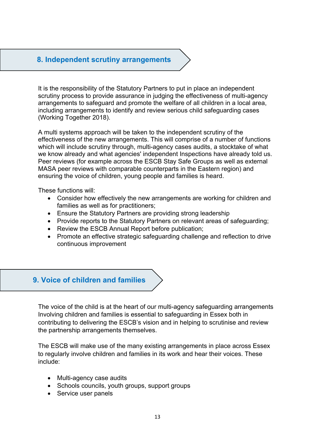# **8. Independent scrutiny arrangements**

It is the responsibility of the Statutory Partners to put in place an independent scrutiny process to provide assurance in judging the effectiveness of multi-agency arrangements to safeguard and promote the welfare of all children in a local area, including arrangements to identify and review serious child safeguarding cases (Working Together 2018).

A multi systems approach will be taken to the independent scrutiny of the effectiveness of the new arrangements. This will comprise of a number of functions which will include scrutiny through, multi-agency cases audits, a stocktake of what we know already and what agencies' independent Inspections have already told us. Peer reviews (for example across the ESCB Stay Safe Groups as well as external MASA peer reviews with comparable counterparts in the Eastern region) and ensuring the voice of children, young people and families is heard.

These functions will:

- Consider how effectively the new arrangements are working for children and families as well as for practitioners;
- Ensure the Statutory Partners are providing strong leadership
- Provide reports to the Statutory Partners on relevant areas of safeguarding;
- Review the ESCB Annual Report before publication;
- Promote an effective strategic safeguarding challenge and reflection to drive continuous improvement

# **9. Voice of children and families**

The voice of the child is at the heart of our multi-agency safeguarding arrangements Involving children and families is essential to safeguarding in Essex both in contributing to delivering the ESCB's vision and in helping to scrutinise and review the partnership arrangements themselves.

The ESCB will make use of the many existing arrangements in place across Essex to regularly involve children and families in its work and hear their voices. These include:

- Multi-agency case audits
- Schools councils, youth groups, support groups
- Service user panels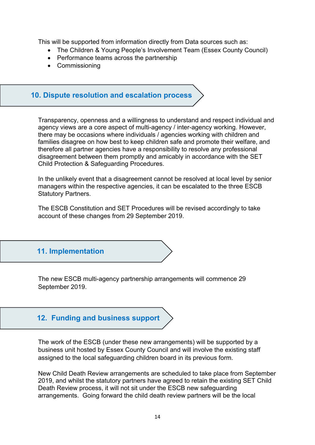This will be supported from information directly from Data sources such as:

- The Children & Young People's Involvement Team (Essex County Council)
- Performance teams across the partnership
- Commissioning

# **10. Dispute resolution and escalation process**

Transparency, openness and a willingness to understand and respect individual and agency views are a core aspect of multi-agency / inter-agency working. However, there may be occasions where individuals / agencies working with children and families disagree on how best to keep children safe and promote their welfare, and therefore all partner agencies have a responsibility to resolve any professional disagreement between them promptly and amicably in accordance with the SET Child Protection & Safeguarding Procedures.

In the unlikely event that a disagreement cannot be resolved at local level by senior managers within the respective agencies, it can be escalated to the three ESCB Statutory Partners.

The ESCB Constitution and SET Procedures will be revised accordingly to take account of these changes from 29 September 2019.

# **11. Implementation**

The new ESCB multi-agency partnership arrangements will commence 29 September 2019.

# **12. Funding and business support**

The work of the ESCB (under these new arrangements) will be supported by a business unit hosted by Essex County Council and will involve the existing staff assigned to the local safeguarding children board in its previous form.

New Child Death Review arrangements are scheduled to take place from September 2019, and whilst the statutory partners have agreed to retain the existing SET Child Death Review process, it will not sit under the ESCB new safeguarding arrangements. Going forward the child death review partners will be the local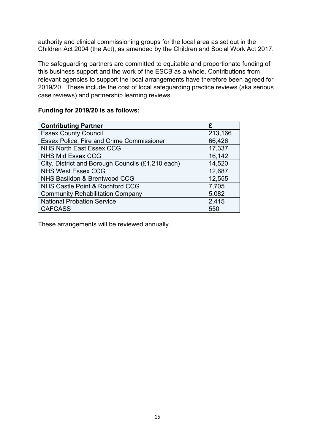authority and clinical commissioning groups for the local area as set out in the Children Act 2004 (the Act), as amended by the Children and Social Work Act 2017.

The safeguarding partners are committed to equitable and proportionate funding of this business support and the work of the ESCB as a whole. Contributions from relevant agencies to support the local arrangements have therefore been agreed for 2019/20. These include the cost of local safeguarding practice reviews (aka serious case reviews) and partnership learning reviews.

# **Funding for 2019/20 is as follows:**

| <b>Contributing Partner</b>                       | £       |
|---------------------------------------------------|---------|
| <b>Essex County Council</b>                       | 213,166 |
| Essex Police, Fire and Crime Commissioner         | 66,426  |
| <b>NHS North East Essex CCG</b>                   | 17,337  |
| <b>NHS Mid Essex CCG</b>                          | 16,142  |
| City, District and Borough Councils (£1,210 each) | 14,520  |
| <b>NHS West Essex CCG</b>                         | 12,687  |
| NHS Basildon & Brentwood CCG                      | 12,555  |
| NHS Castle Point & Rochford CCG                   | 7,705   |
| <b>Community Rehabilitation Company</b>           | 5,082   |
| <b>National Probation Service</b>                 | 2,415   |
| <b>CAFCASS</b>                                    | 550     |

These arrangements will be reviewed annually.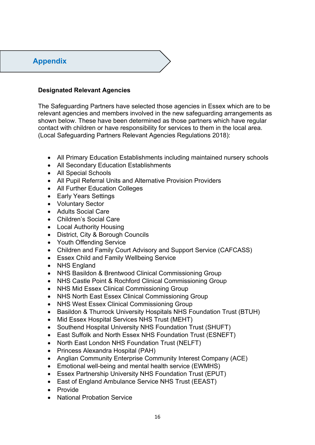# **Appendix**

# **Designated Relevant Agencies**

The Safeguarding Partners have selected those agencies in Essex which are to be relevant agencies and members involved in the new safeguarding arrangements as shown below. These have been determined as those partners which have regular contact with children or have responsibility for services to them in the local area. (Local Safeguarding Partners Relevant Agencies Regulations 2018):

- All Primary Education Establishments including maintained nursery schools
- All Secondary Education Establishments
- All Special Schools
- All Pupil Referral Units and Alternative Provision Providers
- All Further Education Colleges
- Early Years Settings
- Voluntary Sector
- Adults Social Care
- Children's Social Care
- Local Authority Housing
- District, City & Borough Councils
- Youth Offending Service
- Children and Family Court Advisory and Support Service (CAFCASS)
- Essex Child and Family Wellbeing Service
- NHS England
- NHS Basildon & Brentwood Clinical Commissioning Group
- NHS Castle Point & Rochford Clinical Commissioning Group
- NHS Mid Essex Clinical Commissioning Group
- NHS North East Essex Clinical Commissioning Group
- NHS West Essex Clinical Commissioning Group
- Basildon & Thurrock University Hospitals NHS Foundation Trust (BTUH)
- Mid Essex Hospital Services NHS Trust (MEHT)
- Southend Hospital University NHS Foundation Trust (SHUFT)
- East Suffolk and North Essex NHS Foundation Trust (ESNEFT)
- North East London NHS Foundation Trust (NELFT)
- Princess Alexandra Hospital (PAH)
- Anglian Community Enterprise Community Interest Company (ACE)
- Emotional well-being and mental health service (EWMHS)
- Essex Partnership University NHS Foundation Trust (EPUT)
- East of England Ambulance Service NHS Trust (EEAST)
- Provide
- National Probation Service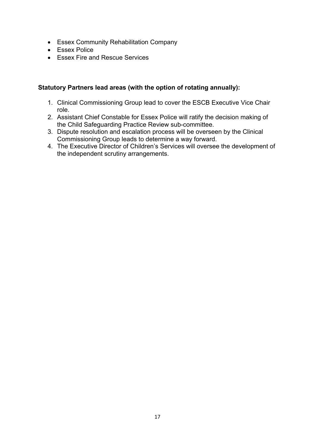- Essex Community Rehabilitation Company
- Essex Police
- **Essex Fire and Rescue Services**

# **Statutory Partners lead areas (with the option of rotating annually):**

- 1. Clinical Commissioning Group lead to cover the ESCB Executive Vice Chair role.
- 2. Assistant Chief Constable for Essex Police will ratify the decision making of the Child Safeguarding Practice Review sub-committee.
- 3. Dispute resolution and escalation process will be overseen by the Clinical Commissioning Group leads to determine a way forward.
- 4. The Executive Director of Children's Services will oversee the development of the independent scrutiny arrangements.